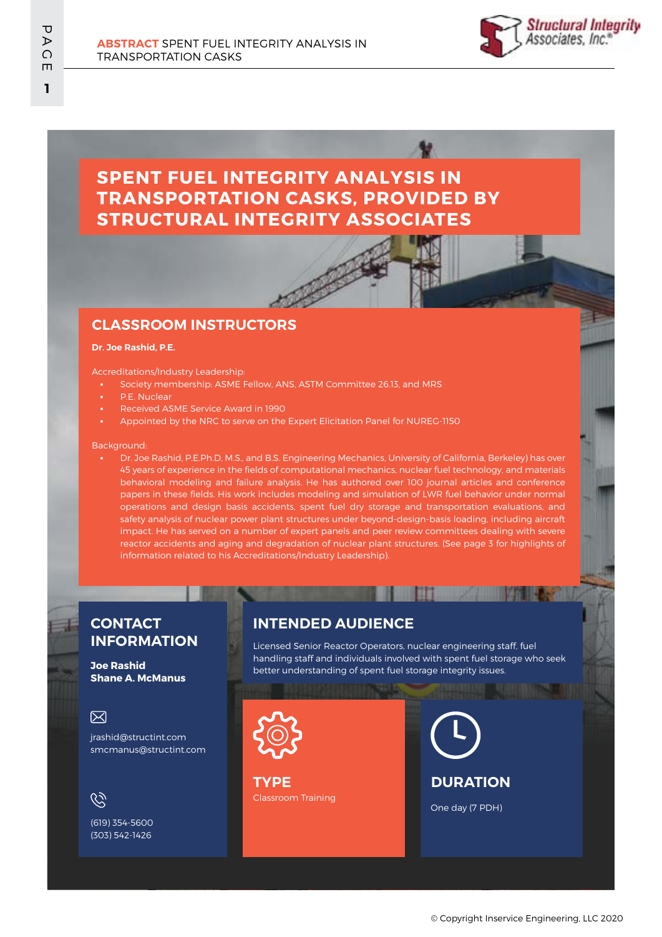

# **SPENT FUEL INTEGRITY ANALYSIS IN TRANSPORTATION CASKS, PROVIDED BY STRUCTURAL INTEGRITY ASSOCIATES**

### **CLASSROOM INSTRUCTORS**

#### **Dr. Joe Rashid, P.E.**

### Accreditations/Industry Leadership:

- Society membership: ASME Fellow, ANS, ASTM Committee 26.13, and MRS
- P.E. Nuclear
- Received ASME Service Award in 1990
- Appointed by the NRC to serve on the Expert Elicitation Panel for NUREG-1150

#### Background:

Dr. Joe Rashid, P.E.Ph.D, M.S., and B.S. Engineering Mechanics, University of California, Berkeley) has over 45 years of experience in the fields of computational mechanics, nuclear fuel technology, and materials behavioral modeling and failure analysis. He has authored over 100 journal articles and conference papers in these fields. His work includes modeling and simulation of LWR fuel behavior under normal operations and design basis accidents, spent fuel dry storage and transportation evaluations, and safety analysis of nuclear power plant structures under beyond-design-basis loading, including aircraft impact. He has served on a number of expert panels and peer review committees dealing with severe reactor accidents and aging and degradation of nuclear plant structures. (See page 3 for highlights of information related to his Accreditations/Industry Leadership).

### **CONTACT INFORMATION**

**Joe Rashid Shane A. McManus**

### 冈

jrashid@structint.com smcmanus@structint.com

## $\mathcal{C}$

(619) 354-5600 (303) 542-1426

### **INTENDED AUDIENCE**

Licensed Senior Reactor Operators, nuclear engineering staff, fuel handling staff and individuals involved with spent fuel storage who seek better understanding of spent fuel storage integrity issues.

II DO



Classroom Training **TYPE**

**DURATION**

One day (7 PDH)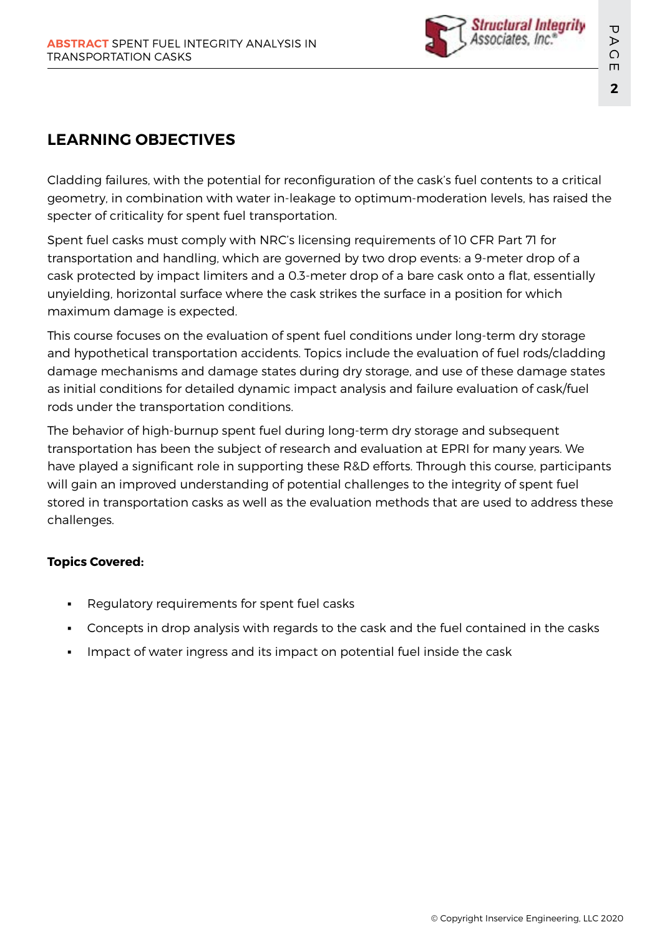

# **LEARNING OBJECTIVES**

Cladding failures, with the potential for reconfiguration of the cask's fuel contents to a critical geometry, in combination with water in-leakage to optimum-moderation levels, has raised the specter of criticality for spent fuel transportation.

Spent fuel casks must comply with NRC's licensing requirements of 10 CFR Part 71 for transportation and handling, which are governed by two drop events: a 9-meter drop of a cask protected by impact limiters and a 0.3-meter drop of a bare cask onto a flat, essentially unyielding, horizontal surface where the cask strikes the surface in a position for which maximum damage is expected.

This course focuses on the evaluation of spent fuel conditions under long-term dry storage and hypothetical transportation accidents. Topics include the evaluation of fuel rods/cladding damage mechanisms and damage states during dry storage, and use of these damage states as initial conditions for detailed dynamic impact analysis and failure evaluation of cask/fuel rods under the transportation conditions.

The behavior of high-burnup spent fuel during long-term dry storage and subsequent transportation has been the subject of research and evaluation at EPRI for many years. We have played a significant role in supporting these R&D efforts. Through this course, participants will gain an improved understanding of potential challenges to the integrity of spent fuel stored in transportation casks as well as the evaluation methods that are used to address these challenges.

## **Topics Covered:**

- Regulatory requirements for spent fuel casks
- Concepts in drop analysis with regards to the cask and the fuel contained in the casks
- Impact of water ingress and its impact on potential fuel inside the cask